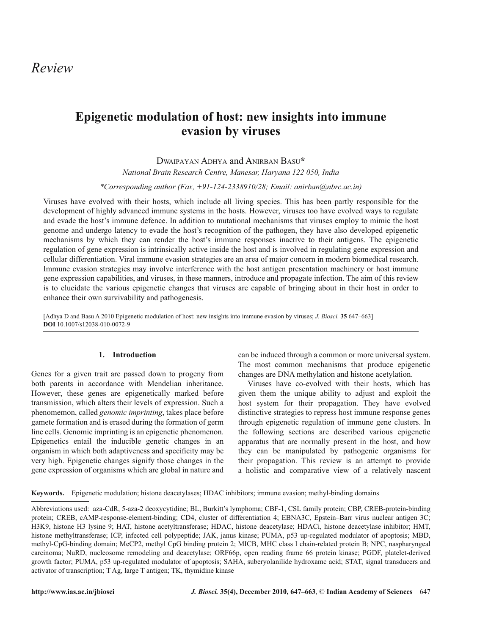# **Epigenetic modulation of host: new insights into immune evasion by viruses**

DWAIPAYAN ADHYA and ANIRBAN BASU**\***

*National Brain Research Centre, Manesar, Haryana 122 050, India*

*\*Corresponding author (Fax, +91-124-2338910/28; Email: anirban@nbrc.ac.in)*

**http://www.ibstitute Constrained Constrained Constrained Constrained Constrained Constrained Constrained Constrained Constrained Constrained Constrained Constrained Constrained Constrained Constrained Constrained Constra** Viruses have evolved with their hosts, which include all living species. This has been partly responsible for the development of highly advanced immune systems in the hosts. However, viruses too have evolved ways to regulate and evade the host's immune defence. In addition to mutational mechanisms that viruses employ to mimic the host genome and undergo latency to evade the host's recognition of the pathogen, they have also developed epigenetic mechanisms by which they can render the host's immune responses inactive to their antigens. The epigenetic regulation of gene expression is intrinsically active inside the host and is involved in regulating gene expression and cellular differentiation. Viral immune evasion strategies are an area of major concern in modern biomedical research. Immune evasion strategies may involve interference with the host antigen presentation machinery or host immune gene expression capabilities, and viruses, in these manners, introduce and propagate infection. The aim of this review is to elucidate the various epigenetic changes that viruses are capable of bringing about in their host in order to enhance their own survivability and pathogenesis.

[Adhya D and Basu A 2010 Epigenetic modulation of host: new insights into immune evasion by viruses; *J. Biosci.* **35** 647–663] **DOI** 10.1007/s12038-010-0072-9

# **1. Introduction**

Genes for a given trait are passed down to progeny from both parents in accordance with Mendelian inheritance. However, these genes are epigenetically marked before transmission, which alters their levels of expression. Such a phenomemon, called *genomic imprinting*, takes place before gamete formation and is erased during the formation of germ line cells. Genomic imprinting is an epigenetic phenomenon. Epigenetics entail the inducible genetic changes in an organism in which both adaptiveness and specificity may be very high. Epigenetic changes signify those changes in the gene expression of organisms which are global in nature and can be induced through a common or more universal system. The most common mechanisms that produce epigenetic changes are DNA methylation and histone acetylation.

Viruses have co-evolved with their hosts, which has given them the unique ability to adjust and exploit the host system for their propagation. They have evolved distinctive strategies to repress host immune response genes through epigenetic regulation of immune gene clusters. In the following sections are described various epigenetic apparatus that are normally present in the host, and how they can be manipulated by pathogenic organisms for their propagation. This review is an attempt to provide a holistic and comparative view of a relatively nascent

**Keywords.** Epigenetic modulation; histone deacetylases; HDAC inhibitors; immune evasion; methyl-binding domains

Abbreviations used: aza-CdR, 5 -aza-2 deoxycytidine; BL, Burkitt's lymphoma; CBF-1, CSL family protein; CBP, CREB-protein-binding protein; CREB, cAMP-response-element-binding; CD4, cluster of differentiation 4; EBNA3C, Epstein–Barr virus nuclear antigen 3C; H3K9, histone H3 lysine 9; HAT, histone acetyltransferase; HDAC, histone deacetylase; HDACi, histone deacetylase inhibitor; HMT, histone methyltransferase; ICP, infected cell polypeptide; JAK, janus kinase; PUMA, p53 up-regulated modulator of apoptosis; MBD, methyl-CpG-binding domain; MeCP2, methyl CpG binding protein 2; MICB, MHC class I chain-related protein B; NPC, naspharyngeal carcinoma; NuRD, nucleosome remodeling and deacetylase; ORF66p, open reading frame 66 protein kinase; PGDF, platelet-derived growth factor; PUMA, p53 up-regulated modulator of apoptosis; SAHA, suberyolanilide hydroxamc acid; STAT, signal transducers and activator of transcription; T Ag, large T antigen; TK, thymidine kinase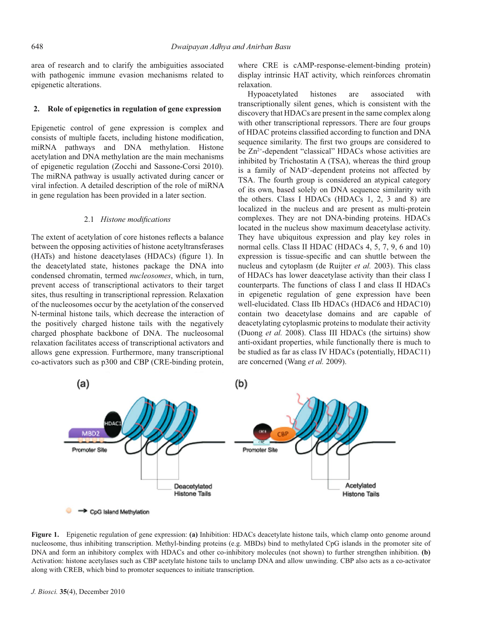area of research and to clarify the ambiguities associated with pathogenic immune evasion mechanisms related to epigenetic alterations.

### **2. Role of epigenetics in regulation of gene expression**

Epigenetic control of gene expression is complex and consists of multiple facets, including histone modification, miRNA pathways and DNA methylation. Histone acetylation and DNA methylation are the main mechanisms of epigenetic regulation (Zocchi and Sassone-Corsi 2010). The miRNA pathway is usually activated during cancer or viral infection. A detailed description of the role of miRNA in gene regulation has been provided in a later section.

### 2.1 *Histone modifications*

The extent of acetylation of core histones reflects a balance between the opposing activities of histone acetyltransferases (HATs) and histone deacetylases (HDACs) (figure 1). In the deacetylated state, histones package the DNA into condensed chromatin, termed *nucleosomes*, which, in turn, prevent access of transcriptional activators to their target sites, thus resulting in transcriptional repression. Relaxation of the nucleosomes occur by the acetylation of the conserved N-terminal histone tails, which decrease the interaction of the positively charged histone tails with the negatively charged phosphate backbone of DNA. The nucleosomal relaxation facilitates access of transcriptional activators and allows gene expression. Furthermore, many transcriptional co-activators such as p300 and CBP (CRE-binding protein,

where CRE is cAMP-response-element-binding protein) display intrinsic HAT activity, which reinforces chromatin relaxation.

Hypoacetylated histones are associated with transcriptionally silent genes, which is consistent with the discovery that HDACs are present in the same complex along with other transcriptional repressors. There are four groups of HDAC proteins classified according to function and DNA sequence similarity. The first two groups are considered to be Zn<sup>2+</sup>-dependent "classical" HDACs whose activities are inhibited by Trichostatin A (TSA), whereas the third group is a family of NAD<sup>+</sup>-dependent proteins not affected by TSA. The fourth group is considered an atypical category of its own, based solely on DNA sequence similarity with the others. Class I HDACs (HDACs 1, 2, 3 and 8) are localized in the nucleus and are present as multi-protein complexes. They are not DNA-binding proteins. HDACs located in the nucleus show maximum deacetylase activity. They have ubiquitous expression and play key roles in normal cells. Class II HDAC (HDACs 4, 5, 7, 9, 6 and 10) expression is tissue-specific and can shuttle between the nucleus and cytoplasm (de Ruijter *et al.* 2003). This class of HDACs has lower deacetylase activity than their class I counterparts. The functions of class I and class II HDACs in epigenetic regulation of gene expression have been well-elucidated. Class IIb HDACs (HDAC6 and HDAC10) contain two deacetylase domains and are capable of deacetylating cytoplasmic proteins to modulate their activity (Duong *et al.* 2008). Class III HDACs (the sirtuins) show anti-oxidant properties, while functionally there is much to be studied as far as class IV HDACs (potentially, HDAC11) are concerned (Wang *et al.* 2009).



**Figure 1.** Epigenetic regulation of gene expression: **(a)** Inhibition: HDACs deacetylate histone tails, which clamp onto genome around nucleosome, thus inhibiting transcription. Methyl-binding proteins (e.g. MBDs) bind to methylated CpG islands in the promoter site of DNA and form an inhibitory complex with HDACs and other co-inhibitory molecules (not shown) to further strengthen inhibition. **(b)** Activation: histone acetylases such as CBP acetylate histone tails to unclamp DNA and allow unwinding. CBP also acts as a co-activator along with CREB, which bind to promoter sequences to initiate transcription.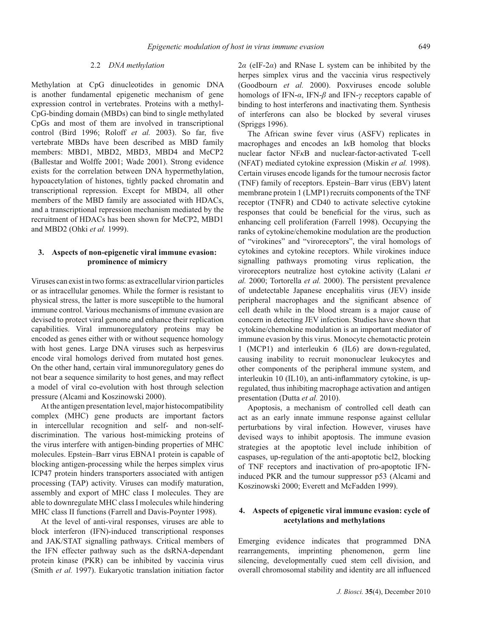# 2.2 *DNA methylation*

Methylation at CpG dinucleotides in genomic DNA is another fundamental epigenetic mechanism of gene expression control in vertebrates. Proteins with a methyl-CpG-binding domain (MBDs) can bind to single methylated CpGs and most of them are involved in transcriptional control (Bird 1996; Roloff *et al.* 2003). So far, five vertebrate MBDs have been described as MBD family members: MBD1, MBD2, MBD3, MBD4 and MeCP2 (Ballestar and Wolffe 2001; Wade 2001). Strong evidence exists for the correlation between DNA hypermethylation, hypoacetylation of histones, tightly packed chromatin and transcriptional repression. Except for MBD4, all other members of the MBD family are associated with HDACs, and a transcriptional repression mechanism mediated by the recruitment of HDACs has been shown for MeCP2, MBD1 and MBD2 (Ohki *et al.* 1999).

# **3. Aspects of non-epigenetic viral immune evasion: prominence of mimicry**

Viruses can exist in two forms: as extracellular virion particles or as intracellular genomes. While the former is resistant to physical stress, the latter is more susceptible to the humoral immune control. Various mechanisms of immune evasion are devised to protect viral genome and enhance their replication capabilities. Viral immunoregulatory proteins may be encoded as genes either with or without sequence homology with host genes. Large DNA viruses such as herpesvirus encode viral homologs derived from mutated host genes. On the other hand, certain viral immunoregulatory genes do not bear a sequence similarity to host genes, and may reflect a model of viral co-evolution with host through selection pressure (Alcami and Koszinowski 2000).

At the antigen presentation level, major histocompatibility complex (MHC) gene products are important factors in intercellular recognition and self- and non-selfdiscrimination. The various host-mimicking proteins of the virus interfere with antigen-binding properties of MHC molecules. Epstein–Barr virus EBNA1 protein is capable of blocking antigen-processing while the herpes simplex virus ICP47 protein hinders transporters associated with antigen processing (TAP) activity. Viruses can modify maturation, assembly and export of MHC class I molecules. They are able to downregulate MHC class I molecules while hindering MHC class II functions (Farrell and Davis-Poynter 1998).

At the level of anti-viral responses, viruses are able to block interferon (IFN)-induced transcriptional responses and JAK/STAT signalling pathways. Critical members of the IFN effecter pathway such as the dsRNA-dependant protein kinase (PKR) can be inhibited by vaccinia virus (Smith *et al.* 1997). Eukaryotic translation initiation factor

 $2\alpha$  (eIF-2 $\alpha$ ) and RNase L system can be inhibited by the herpes simplex virus and the vaccinia virus respectively (Goodbourn *et al.* 2000). Poxviruses encode soluble homologs of IFN-*α*, IFN-*β* and IFN-*γ* receptors capable of binding to host interferons and inactivating them. Synthesis of interferons can also be blocked by several viruses (Spriggs 1996).

The African swine fever virus (ASFV) replicates in macrophages and encodes an I*κ*B homolog that blocks nuclear factor NF*κ*B and nuclear-factor-activated T-cell (NFAT) mediated cytokine expression (Miskin *et al.* 1998). Certain viruses encode ligands for the tumour necrosis factor (TNF) family of receptors. Epstein–Barr virus (EBV) latent membrane protein 1 (LMP1) recruits components of the TNF receptor (TNFR) and CD40 to activate selective cytokine responses that could be beneficial for the virus, such as enhancing cell proliferation (Farrell 1998). Occupying the ranks of cytokine/chemokine modulation are the production of "virokines" and "viroreceptors", the viral homologs of cytokines and cytokine receptors. While virokines induce signalling pathways promoting virus replication, the viroreceptors neutralize host cytokine activity (Lalani *et al.* 2000; Tortorella *et al.* 2000). The persistent prevalence of undetectable Japanese encephalitis virus (JEV) inside peripheral macrophages and the significant absence of cell death while in the blood stream is a major cause of concern in detecting JEV infection. Studies have shown that cytokine/chemokine modulation is an important mediator of immune evasion by this virus. Monocyte chemotactic protein 1 (MCP1) and interleukin 6 (IL6) are down-regulated, causing inability to recruit mononuclear leukocytes and other components of the peripheral immune system, and interleukin 10 (IL10), an anti-inflammatory cytokine, is upregulated, thus inhibiting macrophage activation and antigen presentation (Dutta *et al.* 2010).

Apoptosis, a mechanism of controlled cell death can act as an early innate immune response against cellular perturbations by viral infection. However, viruses have devised ways to inhibit apoptosis. The immune evasion strategies at the apoptotic level include inhibition of caspases, up-regulation of the anti-apoptotic bcl2, blocking of TNF receptors and inactivation of pro-apoptotic IFNinduced PKR and the tumour suppressor p53 (Alcami and Koszinowski 2000; Everett and McFadden 1999).

# **4. Aspects of epigenetic viral immune evasion: cycle of acetylations and methylations**

Emerging evidence indicates that programmed DNA rearrangements, imprinting phenomenon, germ line silencing, developmentally cued stem cell division, and overall chromosomal stability and identity are all influenced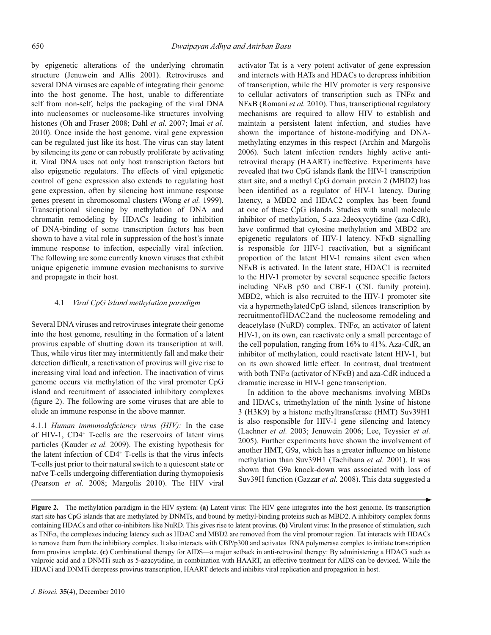by epigenetic alterations of the underlying chromatin structure (Jenuwein and Allis 2001). Retroviruses and several DNA viruses are capable of integrating their genome into the host genome. The host, unable to differentiate self from non-self, helps the packaging of the viral DNA into nucleosomes or nucleosome-like structures involving histones (Oh and Fraser 2008; Dahl *et al.* 2007; Imai *et al.* 2010). Once inside the host genome, viral gene expression can be regulated just like its host. The virus can stay latent by silencing its gene or can robustly proliferate by activating it. Viral DNA uses not only host transcription factors but also epigenetic regulators. The effects of viral epigenetic control of gene expression also extends to regulating host gene expression, often by silencing host immune response genes present in chromosomal clusters (Wong *et al.* 1999). Transcriptional silencing by methylation of DNA and chromatin remodeling by HDACs leading to inhibition of DNA-binding of some transcription factors has been shown to have a vital role in suppression of the host's innate immune response to infection, especially viral infection. The following are some currently known viruses that exhibit unique epigenetic immune evasion mechanisms to survive and propagate in their host.

# 4.1 *Viral CpG island methylation paradigm*

Several DNA viruses and retroviruses integrate their genome into the host genome, resulting in the formation of a latent provirus capable of shutting down its transcription at will. Thus, while virus titer may intermittently fall and make their detection difficult, a reactivation of provirus will give rise to increasing viral load and infection. The inactivation of virus genome occurs via methylation of the viral promoter CpG island and recruitment of associated inhibitory complexes (figure 2). The following are some viruses that are able to elude an immune response in the above manner.

4.1.1 *Human immunodeficiency virus (HIV)*: In the case of HIV-1, CD4+ T-cells are the reservoirs of latent virus particles (Kauder *et al.* 2009). The existing hypothesis for the latent infection of CD4+ T-cells is that the virus infects T-cells just prior to their natural switch to a quiescent state or naïve T-cells undergoing differentiation during thymopoiesis (Pearson *et al.* 2008; Margolis 2010). The HIV viral

activator Tat is a very potent activator of gene expression and interacts with HATs and HDACs to derepress inhibition of transcription, while the HIV promoter is very responsive to cellular activators of transcription such as TNF*α* and NF*κ*B (Romani *et al.* 2010). Thus, transcriptional regulatory mechanisms are required to allow HIV to establish and maintain a persistent latent infection, and studies have shown the importance of histone-modifying and DNAmethylating enzymes in this respect (Archin and Margolis 2006). Such latent infection renders highly active antiretroviral therapy (HAART) ineffective. Experiments have revealed that two CpG islands flank the HIV-1 transcription start site, and a methyl CpG domain protein 2 (MBD2) has been identified as a regulator of HIV-1 latency. During latency, a MBD2 and HDAC2 complex has been found at one of these CpG islands. Studies with small molecule inhibitor of methylation, 5 -aza-2 deoxycytidine (aza-CdR), have confirmed that cytosine methylation and MBD2 are epigenetic regulators of HIV-1 latency. NF*κ*B signalling is responsible for HIV-1 reactivation, but a significant proportion of the latent HIV-1 remains silent even when NF*κ*B is activated. In the latent state, HDAC1 is recruited to the HIV-1 promoter by several sequence specific factors including NF*κ*B p50 and CBF-1 (CSL family protein). MBD2, which is also recruited to the HIV-1 promoter site via a hypermethylated CpG island, silences transcription by recruitment of HDAC2 and the nucleosome remodeling and deacetylase (NuRD) complex. TNF*α*, an activator of latent HIV-1, on its own, can reactivate only a small percentage of the cell population, ranging from 16% to 41%. Aza-CdR, an inhibitor of methylation, could reactivate latent HIV-1, but on its own showed little effect. In contrast, dual treatment with both TNF*α* (activator of NF*κ*B) and aza-CdR induced a dramatic increase in HIV-1 gene transcription.

In addition to the above mechanisms involving MBDs and HDACs, trimethylation of the ninth lysine of histone 3 (H3K9) by a histone methyltransferase (HMT) Suv39H1 is also responsible for HIV-1 gene silencing and latency (Lachner *et al.* 2003; Jenuwein 2006; Lee, Teyssier *et al.* 2005). Further experiments have shown the involvement of another HMT, G9a, which has a greater influence on histone methylation than Suv39H1 (Tachibana *et al.* 2001). It was shown that G9a knock-down was associated with loss of Suv39H function (Gazzar *et al.* 2008). This data suggested a

**Figure 2.** The methylation paradigm in the HIV system: **(a)** Latent virus: The HIV gene integrates into the host genome. Its transcription start site has CpG islands that are methylated by DNMTs, and bound by methyl-binding proteins such as MBD2. A inhibitory complex forms containing HDACs and other co-inhibitors like NuRD. This gives rise to latent provirus. **(b)** Virulent virus: In the presence of stimulation, such as TNFα, the complexes inducing latency such as HDAC and MBD2 are removed from the viral promoter region. Tat interacts with HDACs to remove them from the inhibitory complex. It also interacts with CBP/p300 and activates RNA polymerase complex to initiate transcription from provirus template. **(c)** Combinational therapy for AIDS—a major setback in anti-retroviral therapy: By administering a HDACi such as valproic acid and a DNMTi such as 5 -azacytidine, in combination with HAART, an effective treatment for AIDS can be deviced. While the HDACi and DNMTi derepress provirus transcription, HAART detects and inhibits viral replication and propagation in host.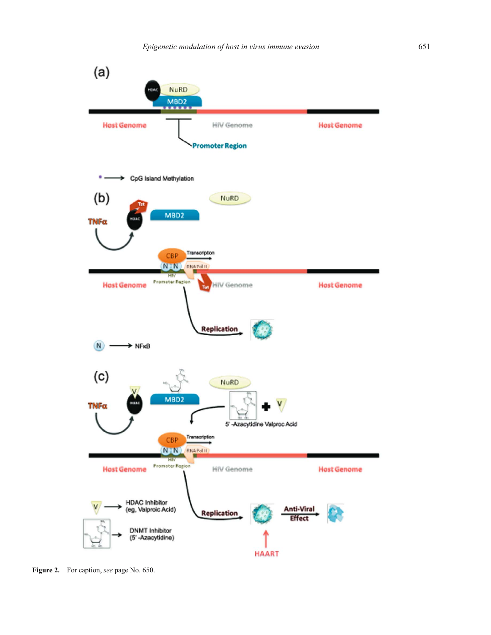

**Figure 2.** For caption, *see* page No. 650.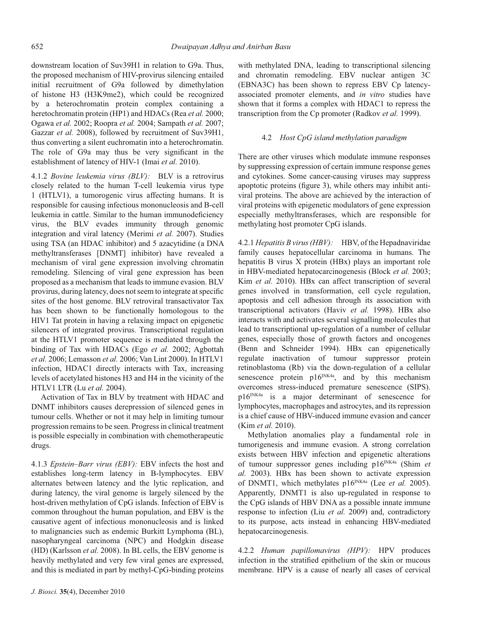downstream location of Suv39H1 in relation to G9a. Thus, the proposed mechanism of HIV-provirus silencing entailed initial recruitment of G9a followed by dimethylation of histone H3 (H3K9me2), which could be recognized by a heterochromatin protein complex containing a heretochromatin protein (HP1) and HDACs (Rea *et al.* 2000; Ogawa *et al.* 2002; Roopra *et al.* 2004; Sampath *et al.* 2007; Gazzar *et al.* 2008), followed by recruitment of Suv39H1, thus converting a silent euchromatin into a heterochromatin. The role of G9a may thus be very significant in the establishment of latency of HIV-1 (Imai *et al.* 2010).

4.1.2 *Bovine leukemia virus (BLV):* BLV is a retrovirus closely related to the human T-cell leukemia virus type 1 (HTLV1), a tumorogenic virus affecting humans. It is responsible for causing infectious mononucleosis and B-cell leukemia in cattle. Similar to the human immunodeficiency virus, the BLV evades immunity through genomic integration and viral latency (Merimi *et al.* 2007). Studies using TSA (an HDAC inhibitor) and 5 azacytidine (a DNA methyltransferases [DNMT] inhibitor) have revealed a mechanism of viral gene expression involving chromatin remodeling. Silencing of viral gene expression has been proposed as a mechanism that leads to immune evasion. BLV provirus, during latency, does not seem to integrate at specific sites of the host genome. BLV retroviral transactivator Tax has been shown to be functionally homologous to the HIV1 Tat protein in having a relaxing impact on epigenetic silencers of integrated provirus. Transcriptional regulation at the HTLV1 promoter sequence is mediated through the binding of Tax with HDACs (Ego *et al.* 2002; Agbottah *et al.* 2006; Lemasson *et al.* 2006; Van Lint 2000). In HTLV1 infection, HDAC1 directly interacts with Tax, increasing levels of acetylated histones H3 and H4 in the vicinity of the HTLV1 LTR (Lu *et al.* 2004).

Activation of Tax in BLV by treatment with HDAC and DNMT inhibitors causes derepression of silenced genes in tumour cells. Whether or not it may help in limiting tumour progression remains to be seen. Progress in clinical treatment is possible especially in combination with chemotherapeutic drugs.

4.1.3 *Epstein–Barr virus (EBV):* EBV infects the host and establishes long-term latency in B-lymphocytes. EBV alternates between latency and the lytic replication, and during latency, the viral genome is largely silenced by the host-driven methylation of CpG islands. Infection of EBV is common throughout the human population, and EBV is the causative agent of infectious mononucleosis and is linked to malignancies such as endemic Burkitt Lymphoma (BL), nasopharyngeal carcinoma (NPC) and Hodgkin disease (HD) (Karlsson *et al.* 2008). In BL cells, the EBV genome is heavily methylated and very few viral genes are expressed, and this is mediated in part by methyl-CpG-binding proteins

with methylated DNA, leading to transcriptional silencing and chromatin remodeling. EBV nuclear antigen 3C (EBNA3C) has been shown to repress EBV Cp latencyassociated promoter elements, and *in vitro* studies have shown that it forms a complex with HDAC1 to repress the transcription from the Cp promoter (Radkov *et al.* 1999).

# 4.2 *Host CpG island methylation paradigm*

There are other viruses which modulate immune responses by suppressing expression of certain immune response genes and cytokines. Some cancer-causing viruses may suppress apoptotic proteins (figure 3), while others may inhibit antiviral proteins. The above are achieved by the interaction of viral proteins with epigenetic modulators of gene expression especially methyltransferases, which are responsible for methylating host promoter CpG islands.

4.2.1 *Hepatitis B virus (HBV):* HBV, of the Hepadnaviridae family causes hepatocellular carcinoma in humans. The hepatitis B virus X protein (HBx) plays an important role in HBV-mediated hepatocarcinogenesis (Block *et al.* 2003; Kim *et al.* 2010). HBx can affect transcription of several genes involved in transformation, cell cycle regulation, apoptosis and cell adhesion through its association with transcriptional activators (Haviv *et al.* 1998). HBx also interacts with and activates several signalling molecules that lead to transcriptional up-regulation of a number of cellular genes, especially those of growth factors and oncogenes (Benn and Schneider 1994). HBx can epigenetically regulate inactivation of tumour suppressor protein retinoblastoma (Rb) via the down-regulation of a cellular senescence protein  $p16^{INK4a}$ , and by this mechanism overcomes stress-induced premature senescence (SIPS). p16INK4a is a major determinant of senescence for lymphocytes, macrophages and astrocytes, and its repression is a chief cause of HBV-induced immune evasion and cancer (Kim *et al.* 2010).

Methylation anomalies play a fundamental role in tumorigenesis and immune evasion. A strong correlation exists between HBV infection and epigenetic alterations of tumour suppressor genes including p16INK4a (Shim *et al.* 2003). HBx has been shown to activate expression of DNMT1, which methylates p16<sup>INK4a</sup> (Lee *et al.* 2005). Apparently, DNMT1 is also up-regulated in response to the CpG islands of HBV DNA as a possible innate immune response to infection (Liu *et al.* 2009) and, contradictory to its purpose, acts instead in enhancing HBV-mediated hepatocarcinogenesis.

4.2.2 *Human papillomavirus (HPV):* HPV produces infection in the stratified epithelium of the skin or mucous membrane. HPV is a cause of nearly all cases of cervical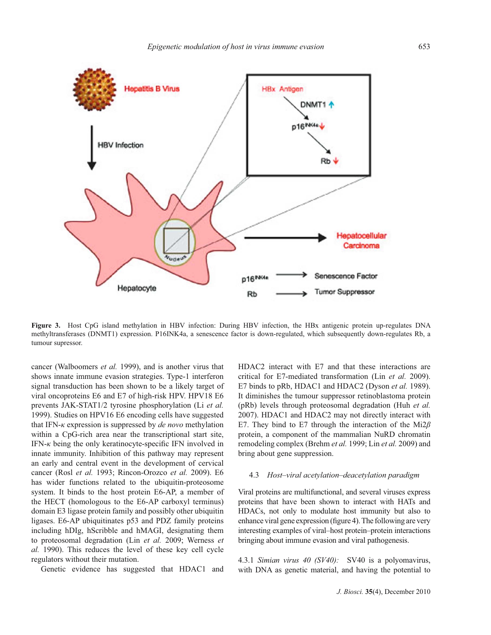

**Figure 3.** Host CpG island methylation in HBV infection: During HBV infection, the HBx antigenic protein up-regulates DNA methyltransferases (DNMT1) expression. P16INK4a, a senescence factor is down-regulated, which subsequently down-regulates Rb, a tumour supressor.

cancer (Walboomers *et al.* 1999), and is another virus that shows innate immune evasion strategies. Type-1 interferon signal transduction has been shown to be a likely target of viral oncoproteins E6 and E7 of high-risk HPV. HPV18 E6 prevents JAK-STAT1/2 tyrosine phosphorylation (Li *et al.* 1999). Studies on HPV16 E6 encoding cells have suggested that IFN-*κ* expression is suppressed by *de novo* methylation within a CpG-rich area near the transcriptional start site, IFN- $\kappa$  being the only keratinocyte-specific IFN involved in innate immunity. Inhibition of this pathway may represent an early and central event in the development of cervical cancer (Rosl *et al.* 1993; Rincon-Orozco *et al.* 2009). E6 has wider functions related to the ubiquitin-proteosome system. It binds to the host protein E6-AP, a member of the HECT (homologous to the E6-AP carboxyl terminus) domain E3 ligase protein family and possibly other ubiquitin ligases. E6-AP ubiquitinates p53 and PDZ family proteins including hDIg, hScribble and hMAGI, designating them to proteosomal degradation (Lin *et al.* 2009; Werness *et al.* 1990). This reduces the level of these key cell cycle regulators without their mutation.

Genetic evidence has suggested that HDAC1 and

HDAC2 interact with E7 and that these interactions are critical for E7-mediated transformation (Lin *et al.* 2009). E7 binds to pRb, HDAC1 and HDAC2 (Dyson *et al.* 1989). It diminishes the tumour suppressor retinoblastoma protein (pRb) levels through proteosomal degradation (Huh *et al.* 2007). HDAC1 and HDAC2 may not directly interact with E7. They bind to E7 through the interaction of the Mi2*β* protein, a component of the mammalian NuRD chromatin remodeling complex (Brehm *et al.* 1999; Lin *et al.* 2009) and bring about gene suppression.

# 4.3 *Host–viral acetylation–deacetylation paradigm*

Viral proteins are multifunctional, and several viruses express proteins that have been shown to interact with HATs and HDACs, not only to modulate host immunity but also to enhance viral gene expression (figure 4). The following are very interesting examples of viral–host protein–protein interactions bringing about immune evasion and viral pathogenesis.

4.3.1 *Simian virus 40 (SV40):* SV40 is a polyomavirus, with DNA as genetic material, and having the potential to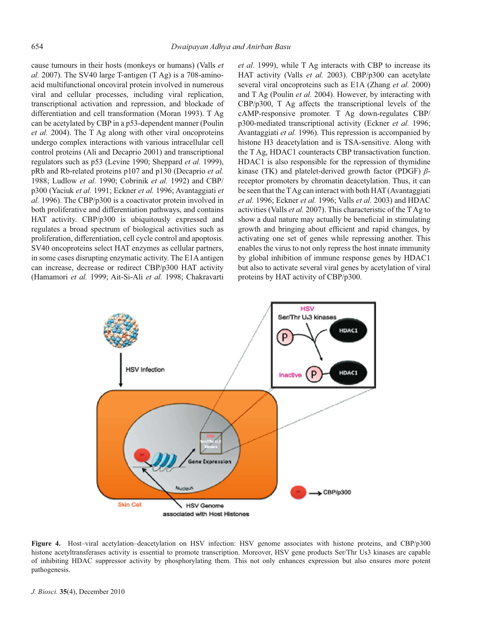cause tumours in their hosts (monkeys or humans) (Valls *et al.* 2007). The SV40 large T-antigen (T Ag) is a 708-aminoacid multifunctional oncoviral protein involved in numerous viral and cellular processes, including viral replication, transcriptional activation and repression, and blockade of differentiation and cell transformation (Moran 1993). T Ag can be acetylated by CBP in a p53-dependent manner (Poulin *et al.* 2004). The T Ag along with other viral oncoproteins undergo complex interactions with various intracellular cell control proteins (Ali and Decaprio 2001) and transcriptional regulators such as p53 (Levine 1990; Sheppard *et al.* 1999), pRb and Rb-related proteins p107 and p130 (Decaprio *et al.* 1988; Ludlow *et al.* 1990; Cobrinik *et al.* 1992) and CBP/ p300 (Yaciuk *et al.* 1991; Eckner *et al.* 1996; Avantaggiati *et al.* 1996). The CBP/p300 is a coactivator protein involved in both proliferative and differentiation pathways, and contains HAT activity. CBP/p300 is ubiquitously expressed and regulates a broad spectrum of biological activities such as proliferation, differentiation, cell cycle control and apoptosis. SV40 oncoproteins select HAT enzymes as cellular partners, in some cases disrupting enzymatic activity. The E1A antigen can increase, decrease or redirect CBP/p300 HAT activity (Hamamori *et al.* 1999; Ait-Si-Ali *et al.* 1998; Chakravarti

*et al.* 1999), while T Ag interacts with CBP to increase its HAT activity (Valls *et al.* 2003). CBP/p300 can acetylate several viral oncoproteins such as E1A (Zhang *et al.* 2000) and T Ag (Poulin *et al.* 2004). However, by interacting with CBP/p300, T Ag affects the transcriptional levels of the cAMP-responsive promoter. T Ag down-regulates CBP/ p300-mediated transcriptional activity (Eckner *et al.* 1996; Avantaggiati *et al.* 1996). This repression is accompanied by histone H3 deacetylation and is TSA-sensitive. Along with the T Ag, HDAC1 counteracts CBP transactivation function. HDAC1 is also responsible for the repression of thymidine kinase (TK) and platelet-derived growth factor (PDGF) *β*receptor promoters by chromatin deacetylation. Thus, it can be seen that the T Ag can interact with both HAT (Avantaggiati *et al.* 1996; Eckner *et al.* 1996; Valls *et al.* 2003) and HDAC activities (Valls *et al.* 2007). This characteristic of the T Ag to show a dual nature may actually be beneficial in stimulating growth and bringing about efficient and rapid changes, by activating one set of genes while repressing another. This enables the virus to not only repress the host innate immunity by global inhibition of immune response genes by HDAC1 but also to activate several viral genes by acetylation of viral proteins by HAT activity of CBP/p300.



**Figure 4.** Host–viral acetylation–deacetylation on HSV infection: HSV genome associates with histone proteins, and CBP/p300 histone acetyltransferases activity is essential to promote transcription. Moreover, HSV gene products Ser/Thr Us3 kinases are capable of inhibiting HDAC suppressor activity by phosphorylating them. This not only enhances expression but also ensures more potent pathogenesis.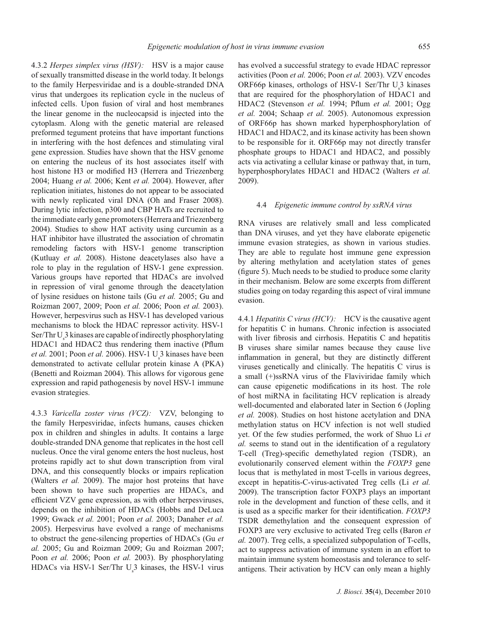4.3.2 *Herpes simplex virus (HSV):* HSV is a major cause of sexually transmitted disease in the world today. It belongs to the family Herpesviridae and is a double-stranded DNA virus that undergoes its replication cycle in the nucleus of infected cells. Upon fusion of viral and host membranes the linear genome in the nucleocapsid is injected into the cytoplasm. Along with the genetic material are released preformed tegument proteins that have important functions in interfering with the host defences and stimulating viral gene expression. Studies have shown that the HSV genome on entering the nucleus of its host associates itself with host histone H3 or modified H3 (Herrera and Triezenberg 2004; Huang *et al.* 2006; Kent *et al.* 2004). However, after replication initiates, histones do not appear to be associated with newly replicated viral DNA (Oh and Fraser 2008). During lytic infection, p300 and CBP HATs are recruited to the immediate early gene promoters (Herrera and Triezenberg 2004). Studies to show HAT activity using curcumin as a HAT inhibitor have illustrated the association of chromatin remodeling factors with HSV-1 genome transcription (Kutluay *et al.* 2008). Histone deacetylases also have a role to play in the regulation of HSV-1 gene expression. Various groups have reported that HDACs are involved in repression of viral genome through the deacetylation of lysine residues on histone tails (Gu *et al.* 2005; Gu and Roizman 2007, 2009; Poon *et al.* 2006; Poon *et al.* 2003). However, herpesvirus such as HSV-1 has developed various mechanisms to block the HDAC repressor activity. HSV-1 Ser/Thr U<sub>s</sub>3 kinases are capable of indirectly phosphorylating HDAC1 and HDAC2 thus rendering them inactive (Pflum *et al.* 2001; Poon *et al.* 2006). HSV-1 U<sub>s</sub>3 kinases have been demonstrated to activate cellular protein kinase A (PKA) (Benetti and Roizman 2004). This allows for vigorous gene expression and rapid pathogenesis by novel HSV-1 immune evasion strategies.

4.3.3 *Varicella zoster virus (VCZ):* VZV, belonging to the family Herpesviridae, infects humans, causes chicken pox in children and shingles in adults. It contains a large double-stranded DNA genome that replicates in the host cell nucleus. Once the viral genome enters the host nucleus, host proteins rapidly act to shut down transcription from viral DNA, and this consequently blocks or impairs replication (Walters *et al.* 2009). The major host proteins that have been shown to have such properties are HDACs, and efficient VZV gene expression, as with other herpesviruses, depends on the inhibition of HDACs (Hobbs and DeLuca 1999; Gwack *et al.* 2001; Poon *et al.* 2003; Danaher *et al.* 2005). Herpesvirus have evolved a range of mechanisms to obstruct the gene-silencing properties of HDACs (Gu *et al.* 2005; Gu and Roizman 2009; Gu and Roizman 2007; Poon *et al.* 2006; Poon *et al.* 2003). By phosphorylating HDACs via HSV-1 Ser/Thr  $U_s^3$  kinases, the HSV-1 virus has evolved a successful strategy to evade HDAC repressor activities (Poon *et al.* 2006; Poon *et al.* 2003). VZV encodes ORF66p kinases, orthologs of HSV-1 Ser/Thr  $U_s^3$  kinases that are required for the phosphorylation of HDAC1 and HDAC2 (Stevenson et al. 1994; Pflum et al. 2001; Ogg *et al.* 2004; Schaap *et al.* 2005). Autonomous expression of ORF66p has shown marked hyperphosphorylation of HDAC1 and HDAC2, and its kinase activity has been shown to be responsible for it. ORF66p may not directly transfer phosphate groups to HDAC1 and HDAC2, and possibly acts via activating a cellular kinase or pathway that, in turn, hyperphosphorylates HDAC1 and HDAC2 (Walters *et al.* 2009).

#### 4.4 *Epigenetic immune control by ssRNA virus*

RNA viruses are relatively small and less complicated than DNA viruses, and yet they have elaborate epigenetic immune evasion strategies, as shown in various studies. They are able to regulate host immune gene expression by altering methylation and acetylation states of genes (figure 5). Much needs to be studied to produce some clarity in their mechanism. Below are some excerpts from different studies going on today regarding this aspect of viral immune evasion.

4.4.1 *Hepatitis C virus (HCV):* HCV is the causative agent for hepatitis C in humans. Chronic infection is associated with liver fibrosis and cirrhosis. Hepatitis  $C$  and hepatitis B viruses share similar names because they cause live inflammation in general, but they are distinctly different viruses genetically and clinically. The hepatitis C virus is a small (+)ssRNA virus of the Flaviviridae family which can cause epigenetic modifications in its host. The role of host miRNA in facilitating HCV replication is already well-documented and elaborated later in Section 6 (Jopling *et al.* 2008). Studies on host histone acetylation and DNA methylation status on HCV infection is not well studied yet. Of the few studies performed, the work of Shuo Li *et al.* seems to stand out in the identification of a regulatory T-cell (Treg)-specific demethylated region (TSDR), an evolutionarily conserved element within the *FOXP3* gene locus that is methylated in most T-cells in various degrees, except in hepatitis-C-virus-activated Treg cells (Li *et al.* 2009). The transcription factor FOXP3 plays an important role in the development and function of these cells, and it is used as a specific marker for their identification. *FOXP3* TSDR demethylation and the consequent expression of FOXP3 are very exclusive to activated Treg cells (Baron *et al.* 2007). Treg cells, a specialized subpopulation of T-cells, act to suppress activation of immune system in an effort to maintain immune system homeostasis and tolerance to selfantigens. Their activation by HCV can only mean a highly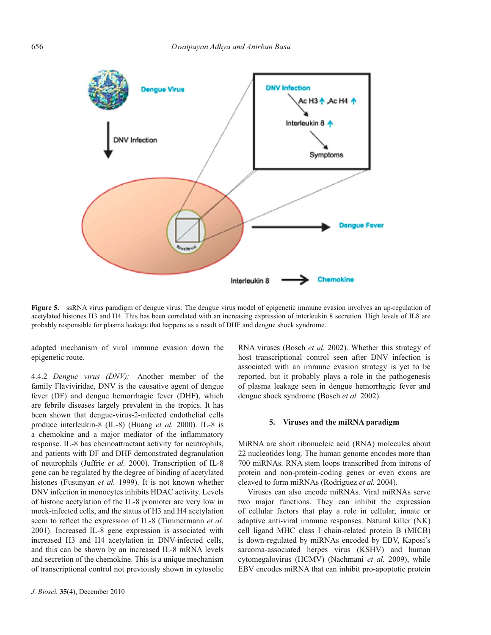

**Figure 5.** ssRNA virus paradigm of dengue virus: The dengue virus model of epigenetic immune evasion involves an up-regulation of acetylated histones H3 and H4. This has been correlated with an increasing expression of interleukin 8 secretion. High levels of IL8 are probably responsible for plasma leakage that happens as a result of DHF and dengue shock syndrome..

adapted mechanism of viral immune evasion down the epigenetic route.

4.4.2 *Dengue virus (DNV):* Another member of the family Flaviviridae, DNV is the causative agent of dengue fever (DF) and dengue hemorrhagic fever (DHF), which are febrile diseases largely prevalent in the tropics. It has been shown that dengue-virus-2-infected endothelial cells produce interleukin-8 (IL-8) (Huang *et al.* 2000). IL-8 is a chemokine and a major mediator of the inflammatory response. IL-8 has chemoattractant activity for neutrophils, and patients with DF and DHF demonstrated degranulation of neutrophils (Juffrie *et al.* 2000). Transcription of IL-8 gene can be regulated by the degree of binding of acetylated histones (Fusunyan *et al.* 1999). It is not known whether DNV infection in monocytes inhibits HDAC activity. Levels of histone acetylation of the IL-8 promoter are very low in mock-infected cells, and the status of H3 and H4 acetylation seem to reflect the expression of IL-8 (Timmermann *et al.*) 2001). Increased IL-8 gene expression is associated with increased H3 and H4 acetylation in DNV-infected cells, and this can be shown by an increased IL-8 mRNA levels and secretion of the chemokine. This is a unique mechanism of transcriptional control not previously shown in cytosolic

Viruses can also encode miRNAs. Viral miRNAs serve two major functions. They can inhibit the expression of cellular factors that play a role in cellular, innate or

adaptive anti-viral immune responses. Natural killer (NK) cell ligand MHC class I chain-related protein B (MICB) is down-regulated by miRNAs encoded by EBV, Kaposi's sarcoma-associated herpes virus (KSHV) and human cytomegalovirus (HCMV) (Nachmani *et al.* 2009), while EBV encodes miRNA that can inhibit pro-apoptotic protein

RNA viruses (Bosch *et al.* 2002). Whether this strategy of host transcriptional control seen after DNV infection is associated with an immune evasion strategy is yet to be reported, but it probably plays a role in the pathogenesis of plasma leakage seen in dengue hemorrhagic fever and

**5. Viruses and the miRNA paradigm**

MiRNA are short ribonucleic acid (RNA) molecules about 22 nucleotides long. The human genome encodes more than 700 miRNAs. RNA stem loops transcribed from introns of protein and non-protein-coding genes or even exons are

cleaved to form miRNAs (Rodriguez *et al.* 2004).

dengue shock syndrome (Bosch *et al.* 2002).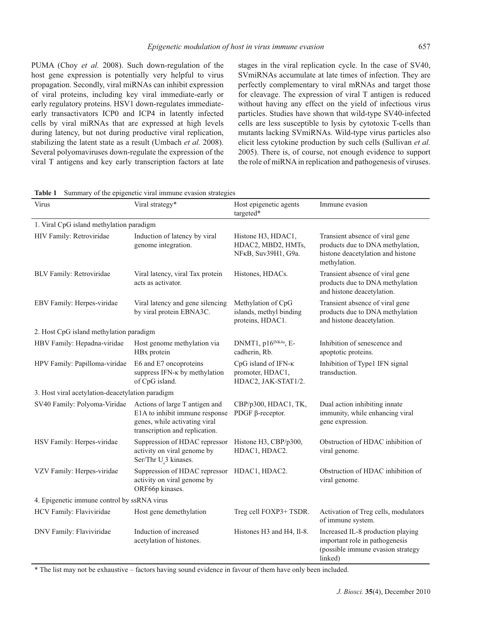PUMA (Choy *et al.* 2008). Such down-regulation of the host gene expression is potentially very helpful to virus propagation. Secondly, viral miRNAs can inhibit expression of viral proteins, including key viral immediate-early or early regulatory proteins. HSV1 down-regulates immediateearly transactivators ICP0 and ICP4 in latently infected cells by viral miRNAs that are expressed at high levels during latency, but not during productive viral replication, stabilizing the latent state as a result (Umbach *et al.* 2008). Several polyomaviruses down-regulate the expression of the viral T antigens and key early transcription factors at late

stages in the viral replication cycle. In the case of SV40, SVmiRNAs accumulate at late times of infection. They are perfectly complementary to viral mRNAs and target those for cleavage. The expression of viral T antigen is reduced without having any effect on the yield of infectious virus particles. Studies have shown that wild-type SV40-infected cells are less susceptible to lysis by cytotoxic T-cells than mutants lacking SVmiRNAs. Wild-type virus particles also elicit less cytokine production by such cells (Sullivan *et al.* 2005). There is, of course, not enough evidence to support the role of miRNA in replication and pathogenesis of viruses.

| -1-9<br>Virus                                    | Viral strategy*                                                                                                                     | Host epigenetic agents<br>targeted*                               | Immune evasion                                                                                                           |
|--------------------------------------------------|-------------------------------------------------------------------------------------------------------------------------------------|-------------------------------------------------------------------|--------------------------------------------------------------------------------------------------------------------------|
| 1. Viral CpG island methylation paradigm         |                                                                                                                                     |                                                                   |                                                                                                                          |
| HIV Family: Retroviridae                         | Induction of latency by viral<br>genome integration.                                                                                | Histone H3, HDAC1,<br>HDAC2, MBD2, HMTs,<br>NFKB, Suv39H1, G9a.   | Transient absence of viral gene<br>products due to DNA methylation,<br>histone deacetylation and histone<br>methylation. |
| BLV Family: Retroviridae                         | Viral latency, viral Tax protein<br>acts as activator.                                                                              | Histones, HDACs.                                                  | Transient absence of viral gene<br>products due to DNA methylation<br>and histone deacetylation.                         |
| EBV Family: Herpes-viridae                       | Viral latency and gene silencing<br>by viral protein EBNA3C.                                                                        | Methylation of CpG<br>islands, methyl binding<br>proteins, HDAC1. | Transient absence of viral gene<br>products due to DNA methylation<br>and histone deacetylation.                         |
| 2. Host CpG island methylation paradigm          |                                                                                                                                     |                                                                   |                                                                                                                          |
| HBV Family: Hepadna-viridae                      | Host genome methylation via<br>HBx protein                                                                                          | DNMT1, p16 <sup>INK4a</sup> , E-<br>cadherin, Rb.                 | Inhibition of senescence and<br>apoptotic proteins.                                                                      |
| HPV Family: Papilloma-viridae                    | E6 and E7 oncoproteins<br>suppress IFN- $\kappa$ by methylation<br>of CpG island.                                                   | CpG island of IFN-K<br>promoter, HDAC1,<br>HDAC2, JAK-STAT1/2.    | Inhibition of Type1 IFN signal<br>transduction.                                                                          |
| 3. Host viral acetylation-deacetylation paradigm |                                                                                                                                     |                                                                   |                                                                                                                          |
| SV40 Family: Polyoma-Viridae                     | Actions of large T antigen and<br>E1A to inhibit immune response<br>genes, while activating viral<br>transcription and replication. | CBP/p300, HDAC1, TK,<br>PDGF β-receptor.                          | Dual action inhibiting innate<br>immunity, while enhancing viral<br>gene expression.                                     |
| HSV Family: Herpes-viridae                       | Suppression of HDAC repressor<br>activity on viral genome by<br>Ser/Thr U <sub>2</sub> 3 kinases.                                   | Histone H3, CBP/p300,<br>HDAC1, HDAC2.                            | Obstruction of HDAC inhibition of<br>viral genome.                                                                       |
| VZV Family: Herpes-viridae                       | Suppression of HDAC repressor HDAC1, HDAC2.<br>activity on viral genome by<br>ORF66p kinases.                                       |                                                                   | Obstruction of HDAC inhibition of<br>viral genome.                                                                       |
| 4. Epigenetic immune control by ssRNA virus      |                                                                                                                                     |                                                                   |                                                                                                                          |
| HCV Family: Flaviviridae                         | Host gene demethylation                                                                                                             | Treg cell FOXP3+ TSDR.                                            | Activation of Treg cells, modulators<br>of immune system.                                                                |
| DNV Family: Flaviviridae                         | Induction of increased<br>acetylation of histones.                                                                                  | Histones H3 and H4, Il-8.                                         | Increased IL-8 production playing<br>important role in pathogenesis<br>(possible immune evasion strategy<br>linked)      |

**Table 1** Summary of the epigenetic viral immune evasion strategies

\* The list may not be exhaustive – factors having sound evidence in favour of them have only been included.

*J. Biosci.* **35**(4), December 2010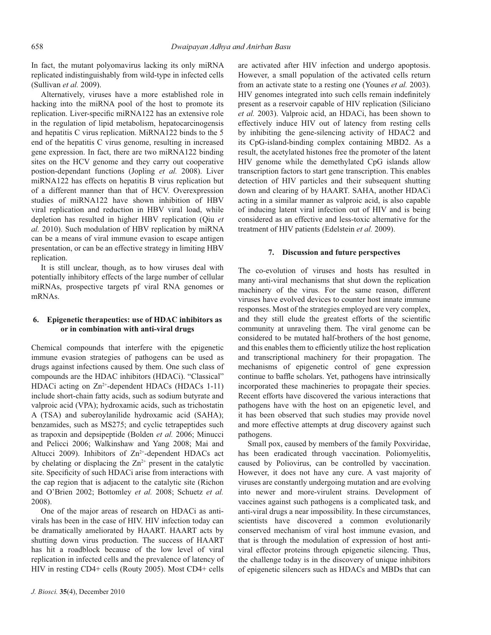In fact, the mutant polyomavirus lacking its only miRNA replicated indistinguishably from wild-type in infected cells (Sullivan *et al.* 2009).

Alternatively, viruses have a more established role in hacking into the miRNA pool of the host to promote its replication. Liver-specific miRNA122 has an extensive role in the regulation of lipid metabolism, hepatocarcinogensis and hepatitis C virus replication. MiRNA122 binds to the 5 end of the hepatitis C virus genome, resulting in increased gene expression. In fact, there are two miRNA122 binding sites on the HCV genome and they carry out cooperative postion-dependant functions (Jopling *et al.* 2008). Liver miRNA122 has effects on hepatitis B virus replication but of a different manner than that of HCV. Overexpression studies of miRNA122 have shown inhibition of HBV viral replication and reduction in HBV viral load, while depletion has resulted in higher HBV replication (Qiu *et al.* 2010). Such modulation of HBV replication by miRNA can be a means of viral immune evasion to escape antigen presentation, or can be an effective strategy in limiting HBV replication.

It is still unclear, though, as to how viruses deal with potentially inhibitory effects of the large number of cellular miRNAs, prospective targets pf viral RNA genomes or mRNAs.

# **6. Epigenetic therapeutics: use of HDAC inhibitors as or in combination with anti-viral drugs**

Chemical compounds that interfere with the epigenetic immune evasion strategies of pathogens can be used as drugs against infections caused by them. One such class of compounds are the HDAC inhibitors (HDACi). "Classical" HDACi acting on  $Zn^{2+}$ -dependent HDACs (HDACs 1-11) include short-chain fatty acids, such as sodium butyrate and valproic acid (VPA); hydroxamic acids, such as trichostatin A (TSA) and suberoylanilide hydroxamic acid (SAHA); benzamides, such as MS275; and cyclic tetrapeptides such as trapoxin and depsipeptide (Bolden *et al.* 2006; Minucci and Pelicci 2006; Walkinshaw and Yang 2008; Mai and Altucci 2009). Inhibitors of  $Zn^{2+}$ -dependent HDACs act by chelating or displacing the  $Zn^{2+}$  present in the catalytic site. Specificity of such HDACi arise from interactions with the cap region that is adjacent to the catalytic site (Richon and O'Brien 2002; Bottomley *et al.* 2008; Schuetz *et al.* 2008).

One of the major areas of research on HDACi as antivirals has been in the case of HIV. HIV infection today can be dramatically ameliorated by HAART. HAART acts by shutting down virus production. The success of HAART has hit a roadblock because of the low level of viral replication in infected cells and the prevalence of latency of HIV in resting CD4+ cells (Routy 2005). Most CD4+ cells

are activated after HIV infection and undergo apoptosis. However, a small population of the activated cells return from an activate state to a resting one (Younes *et al.* 2003). HIV genomes integrated into such cells remain indefinitely present as a reservoir capable of HIV replication (Siliciano *et al.* 2003). Valproic acid, an HDACi, has been shown to effectively induce HIV out of latency from resting cells by inhibiting the gene-silencing activity of HDAC2 and its CpG-island-binding complex containing MBD2. As a result, the acetylated histones free the promoter of the latent HIV genome while the demethylated CpG islands allow transcription factors to start gene transcription. This enables detection of HIV particles and their subsequent shutting down and clearing of by HAART. SAHA, another HDACi acting in a similar manner as valproic acid, is also capable of inducing latent viral infection out of HIV and is being considered as an effective and less-toxic alternative for the treatment of HIV patients (Edelstein *et al.* 2009).

## **7. Discussion and future perspectives**

The co-evolution of viruses and hosts has resulted in many anti-viral mechanisms that shut down the replication machinery of the virus. For the same reason, different viruses have evolved devices to counter host innate immune responses. Most of the strategies employed are very complex, and they still elude the greatest efforts of the scientific community at unraveling them. The viral genome can be considered to be mutated half-brothers of the host genome, and this enables them to efficiently utilize the host replication and transcriptional machinery for their propagation. The mechanisms of epigenetic control of gene expression continue to baffle scholars. Yet, pathogens have intrinsically incorporated these machineries to propagate their species. Recent efforts have discovered the various interactions that pathogens have with the host on an epigenetic level, and it has been observed that such studies may provide novel and more effective attempts at drug discovery against such pathogens.

Small pox, caused by members of the family Poxviridae, has been eradicated through vaccination. Poliomyelitis, caused by Poliovirus, can be controlled by vaccination. However, it does not have any cure. A vast majority of viruses are constantly undergoing mutation and are evolving into newer and more-virulent strains. Development of vaccines against such pathogens is a complicated task, and anti-viral drugs a near impossibility. In these circumstances, scientists have discovered a common evolutionarily conserved mechanism of viral host immune evasion, and that is through the modulation of expression of host antiviral effector proteins through epigenetic silencing. Thus, the challenge today is in the discovery of unique inhibitors of epigenetic silencers such as HDACs and MBDs that can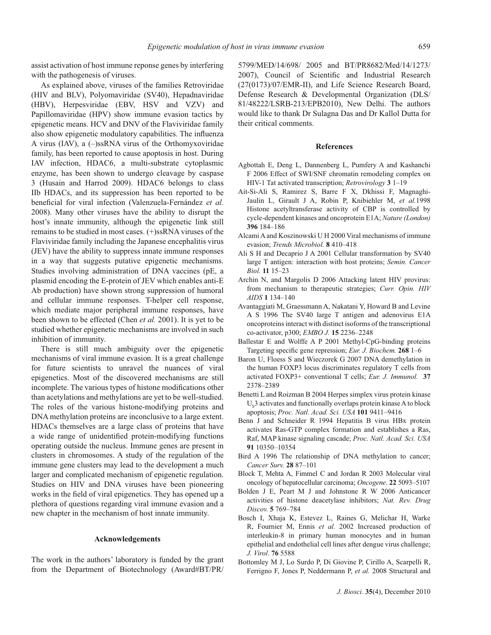assist activation of host immune reponse genes by interfering with the pathogenesis of viruses.

As explained above, viruses of the families Retroviridae (HIV and BLV), Polyomaviridae (SV40), Hepadnaviridae (HBV), Herpesviridae (EBV, HSV and VZV) and Papillomaviridae (HPV) show immune evasion tactics by epigenetic means. HCV and DNV of the Flaviviridae family also show epigenetic modulatory capabilities. The influenza A virus (IAV), a (–)ssRNA virus of the Orthomyxoviridae family, has been reported to cause apoptosis in host. During IAV infection, HDAC6, a multi-substrate cytoplasmic enzyme, has been shown to undergo cleavage by caspase 3 (Husain and Harrod 2009). HDAC6 belongs to class IIb HDACs, and its suppression has been reported to be beneficial for viral infection (Valenzuela-Fernández et al. 2008). Many other viruses have the ability to disrupt the host's innate immunity, although the epigenetic link still remains to be studied in most cases. (+)ssRNA viruses of the Flaviviridae family including the Japanese encephalitis virus (JEV) have the ability to suppress innate immune responses in a way that suggests putative epigenetic mechanisms. Studies involving administration of DNA vaccines (pE, a plasmid encoding the E-protein of JEV which enables anti-E Ab production) have shown strong suppression of humoral and cellular immune responses. T-helper cell response, which mediate major peripheral immune responses, have been shown to be effected (Chen *et al.* 2001). It is yet to be studied whether epigenetic mechanisms are involved in such inhibition of immunity.

There is still much ambiguity over the epigenetic mechanisms of viral immune evasion. It is a great challenge for future scientists to unravel the nuances of viral epigenetics. Most of the discovered mechanisms are still incomplete. The various types of histone modifications other than acetylations and methylations are yet to be well-studied. The roles of the various histone-modifying proteins and DNA methylation proteins are inconclusive to a large extent. HDACs themselves are a large class of proteins that have a wide range of unidentified protein-modifying functions operating outside the nucleus. Immune genes are present in clusters in chromosomes. A study of the regulation of the immune gene clusters may lead to the development a much larger and complicated mechanism of epigenetic regulation. Studies on HIV and DNA viruses have been pioneering works in the field of viral epigenetics. They has opened up a plethora of questions regarding viral immune evasion and a new chapter in the mechanism of host innate immunity.

#### **Acknowledgements**

The work in the authors' laboratory is funded by the grant from the Department of Biotechnology (Award#BT/PR/ 5799/MED/14/698/ 2005 and BT/PR8682/Med/14/1273/ 2007), Council of Scientific and Industrial Research (27(0173)/07/EMR-II), and Life Science Research Board, Defense Research & Developmental Organization (DLS/ 81/48222/LSRB-213/EPB2010), New Delhi. The authors would like to thank Dr Sulagna Das and Dr Kallol Dutta for their critical comments.

#### **References**

- Agbottah E, Deng L, Dannenberg L, Pumfery A and Kashanchi F 2006 Effect of SWI/SNF chromatin remodeling complex on HIV-1 Tat activated transcription; *Retrovirology* **3** 1–19
- Ait-Si-Ali S, Ramirez S, Barre F X, Dkhissi F, Magnaghi-Jaulin L, Girault J A, Robin P, Knibiehler M, *et al.*1998 Histone acetyltransferase activity of CBP is controlled by cycle-dependent kinases and oncoprotein E1A; *Nature (London)* **396** 184–186
- Alcami A and Koszinowski U H 2000 Viral mechanisms of immune evasion; *Trends Microbiol.* **8** 410–418
- Ali S H and Decaprio J A 2001 Cellular transformation by SV40 large T antigen: interaction with host proteins; *Semin. Cancer Biol.* **11** 15–23
- Archin N, and Margolis D 2006 Attacking latent HIV provirus: from mechanism to therapeutic strategies; *Curr. Opin. HIV AIDS* **1** 134–140
- Avantaggiati M, Graessmann A, Nakatani Y, Howard B and Levine A S 1996 The SV40 large T antigen and adenovirus E1A oncoproteins interact with distinct isoforms of the transcriptional co-activator, p300; *EMBO J.* **15** 2236–2248
- Ballestar E and Wolffe A P 2001 Methyl-CpG-binding proteins Targeting specific gene repression; *Eur. J. Biochem.* 268 1-6
- Baron U, Floess S and Wieczorek G 2007 DNA demethylation in the human FOXP3 locus discriminates regulatory T cells from activated FOXP3+ conventional T cells; *Eur. J. Immunol.* **37** 2378–2389
- Benetti L and Roizman B 2004 Herpes simplex virus protein kinase  $U_s^3$  activates and functionally overlaps protein kinase A to block apoptosis; *Proc. Natl. Acad. Sci. USA* **101** 9411–9416
- Benn J and Schneider R 1994 Hepatitis B virus HBx protein activates Ras-GTP complex formation and establishes a Ras, Raf, MAP kinase signaling cascade; *Proc. Natl. Acad. Sci. USA* **91** 10350–10354
- Bird A 1996 The relationship of DNA methylation to cancer; *Cancer Surv.* **28** 87–101
- Block T, Mehta A, Fimmel C and Jordan R 2003 Molecular viral oncology of hepatocellular carcinoma; *Oncogene*. **22** 5093–5107
- Bolden J E, Peart M J and Johnstone R W 2006 Anticancer activities of histone deacetylase inhibitors; *Nat. Rev. Drug Discov.* **5** 769–784
- Bosch I, Xhaja K, Estevez L, Raines G, Melichar H, Warke R, Fournier M, Ennis *et al.* 2002 Increased production of interleukin-8 in primary human monocytes and in human epithelial and endothelial cell lines after dengue virus challenge; *J. Virol*. **76** 5588
- Bottomley M J, Lo Surdo P, Di Giovine P, Cirillo A, Scarpelli R, Ferrigno F, Jones P, Neddermann P, *et al.* 2008 Structural and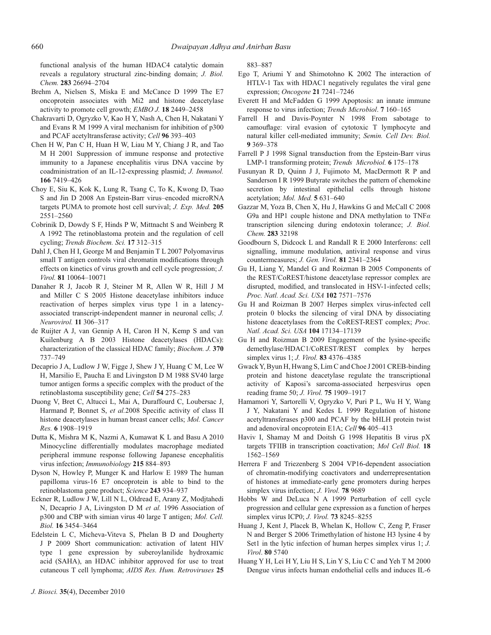functional analysis of the human HDAC4 catalytic domain reveals a regulatory structural zinc-binding domain; *J. Biol. Chem.* **283** 26694–2704

- Brehm A, Nielsen S, Miska E and McCance D 1999 The E7 oncoprotein associates with Mi2 and histone deacetylase activity to promote cell growth; *EMBO J.* **18** 2449–2458
- Chakravarti D, Ogryzko V, Kao H Y, Nash A, Chen H, Nakatani Y and Evans R M 1999 A viral mechanism for inhibition of p300 and PCAF acetyltransferase activity; *Cell* **96** 393–403
- Chen H W, Pan C H, Huan H W, Liau M Y, Chiang J R, and Tao M H 2001 Suppression of immune response and protective immunity to a Japanese encephalitis virus DNA vaccine by coadministration of an IL-12-expressing plasmid; *J. Immunol.* **166** 7419–426
- Choy E, Siu K, Kok K, Lung R, Tsang C, To K, Kwong D, Tsao S and Jin D 2008 An Epstein-Barr virus–encoded microRNA targets PUMA to promote host cell survival; *J. Exp. Med.* **205** 2551–2560
- Cobrinik D, Dowdy S F, Hinds P W, Mittnacht S and Weinberg R A 1992 The retinoblastoma protein and the regulation of cell cycling; *Trends Biochem. Sci.* **17** 312–315
- Dahl J, Chen H I, George M and Benjamin T L 2007 Polyomavirus small T antigen controls viral chromatin modifications through effects on kinetics of virus growth and cell cycle progression; *J. Virol.* **81** 10064–10071
- Danaher R J, Jacob R J, Steiner M R, Allen W R, Hill J M and Miller C S 2005 Histone deacetylase inhibitors induce reactivation of herpes simplex virus type 1 in a latencyassociated transcript-independent manner in neuronal cells; *J. Neurovirol.* **11** 306–317
- de Ruijter A J, van Gennip A H, Caron H N, Kemp S and van Kuilenburg A B 2003 Histone deacetylases (HDACs): characterization of the classical HDAC family; *Biochem. J.* **370**  737–749
- Decaprio J A, Ludlow J W, Figge J, Shew J Y, Huang C M, Lee W H, Marsilio E, Paucha E and Livingston D M 1988 SV40 large tumor antigen forms a specific complex with the product of the retinoblastoma susceptibility gene; *Cell* **54** 275–283
- Duong V, Bret C, Altucci L, Mai A, Duraffourd C, Loubersac J, Harmand P, Bonnet S, et al.2008 Specific activity of class II histone deacetylases in human breast cancer cells; *Mol. Cancer Res.* **6** 1908–1919
- Dutta K, Mishra M K, Nazmi A, Kumawat K L and Basu A 2010 Minocycline differentially modulates macrophage mediated peripheral immune response following Japanese encephalitis virus infection; *Immunobiology* **215** 884–893
- Dyson N, Howley P, Munger K and Harlow E 1989 The human papilloma virus-16 E7 oncoprotein is able to bind to the retinoblastoma gene product; *Science* **243** 934–937
- Eckner R, Ludlow J W, Lill N L, Oldread E, Arany Z, Modjtahedi N, Decaprio J A, Livingston D M *et al.* 1996 Association of p300 and CBP with simian virus 40 large T antigen; *Mol. Cell. Biol.* **16** 3454–3464
- Edelstein L C, Micheva-Viteva S, Phelan B D and Dougherty J P 2009 Short communication: activation of latent HIV type 1 gene expression by suberoylanilide hydroxamic acid (SAHA), an HDAC inhibitor approved for use to treat cutaneous T cell lymphoma; *AIDS Res. Hum. Retroviruses* **25**

883–887

- Ego T, Ariumi Y and Shimotohno K 2002 The interaction of HTLV-1 Tax with HDAC1 negatively regulates the viral gene expression; *Oncogene* **21** 7241–7246
- Everett H and McFadden G 1999 Apoptosis: an innate immune response to virus infection; *Trends Microbiol*. **7** 160–165
- Farrell H and Davis-Poynter N 1998 From sabotage to camouflage: viral evasion of cytotoxic T lymphocyte and natural killer cell-mediated immunity; *Semin. Cell Dev. Biol.*  **9** 369–378
- Farrell P J 1998 Signal transduction from the Epstein-Barr virus LMP-1 transforming protein; *Trends Microbiol.* **6** 175–178
- Fusunyan R D, Quinn J J, Fujimoto M, MacDermott R P and Sanderson I R 1999 Butyrate switches the pattern of chemokine secretion by intestinal epithelial cells through histone acetylation; *Mol. Med.* **5** 631–640
- Gazzar M, Yoza B, Chen X, Hu J, Hawkins G and McCall C 2008 G9a and HP1 couple histone and DNA methylation to TNF*α* transcription silencing during endotoxin tolerance; *J. Biol. Chem.* **283** 32198
- Goodbourn S, Didcock L and Randall R E 2000 Interferons: cell signalling, immune modulation, antiviral response and virus countermeasures; *J. Gen. Virol.* **81** 2341–2364
- Gu H, Liang Y, Mandel G and Roizman B 2005 Components of the REST/CoREST/histone deacetylase repressor complex are disrupted, modified, and translocated in HSV-1-infected cells; *Proc. Natl. Acad. Sci. USA* **102** 7571–7576
- Gu H and Roizman B 2007 Herpes simplex virus-infected cell protein 0 blocks the silencing of viral DNA by dissociating histone deacetylases from the CoREST-REST complex; *Proc. Natl. Acad. Sci. USA* **104** 17134–17139
- Gu H and Roizman B 2009 Engagement of the lysine-specific demethylase/HDAC1/CoREST/REST complex by herpes simplex virus 1; *J. Virol.* **83** 4376–4385
- Gwack Y, Byun H, Hwang S, Lim C and Choe J 2001 CREB-binding protein and histone deacetylase regulate the transcriptional activity of Kaposi's sarcoma-associated herpesvirus open reading frame 50; *J. Virol.* **75** 1909–1917
- Hamamori Y, Sartorelli V, Ogryzko V, Puri P L, Wu H Y, Wang J Y, Nakatani Y and Kedes L 1999 Regulation of histone acetyltransferases p300 and PCAF by the bHLH protein twist and adenoviral oncoprotein E1A; *Cell* **96** 405–413
- Haviv I, Shamay M and Doitsh G 1998 Hepatitis B virus pX targets TFIIB in transcription coactivation; *Mol Cell Biol.* **18**  1562–1569
- Herrera F and Triezenberg S 2004 VP16-dependent association of chromatin-modifying coactivators and underrepresentation of histones at immediate-early gene promoters during herpes simplex virus infection; *J. Virol.* **78** 9689
- Hobbs W and DeLuca N A 1999 Perturbation of cell cycle progression and cellular gene expression as a function of herpes simplex virus ICP0; *J. Virol.* **73** 8245–8255
- Huang J, Kent J, Placek B, Whelan K, Hollow C, Zeng P, Fraser N and Berger S 2006 Trimethylation of histone H3 lysine 4 by Set1 in the lytic infection of human herpes simplex virus 1; *J. Virol*. **80** 5740
- Huang Y H, Lei H Y, Liu H S, Lin Y S, Liu C C and Yeh T M 2000 Dengue virus infects human endothelial cells and induces IL-6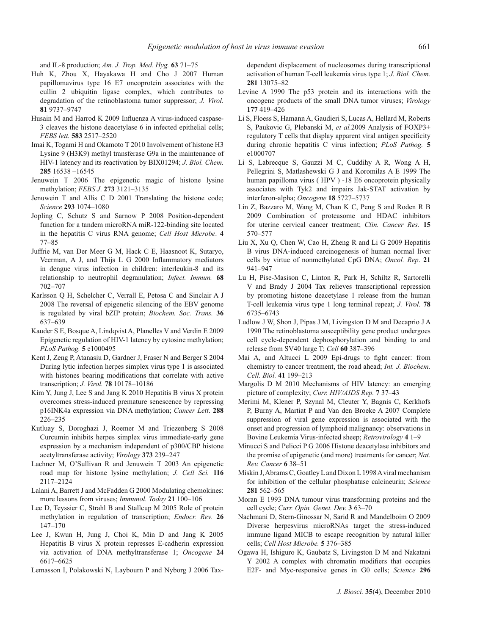and IL-8 production; *Am. J. Trop. Med. Hyg.* **63** 71–75

- Huh K, Zhou X, Hayakawa H and Cho J 2007 Human papillomavirus type 16 E7 oncoprotein associates with the cullin 2 ubiquitin ligase complex, which contributes to degradation of the retinoblastoma tumor suppressor; *J. Virol.* **81** 9737–9747
- Husain M and Harrod K 2009 Influenza A virus-induced caspase-3 cleaves the histone deacetylase 6 in infected epithelial cells; *FEBS lett.* **583** 2517–2520
- Imai K, Togami H and Okamoto T 2010 Involvement of histone H3 Lysine 9 (H3K9) methyl transferase G9a in the maintenance of HIV-1 latency and its reactivation by BIX01294; *J. Biol. Chem.*  **285** 16538 –16545
- Jenuwein T 2006 The epigenetic magic of histone lysine methylation; *FEBS J*. **273** 3121–3135
- Jenuwein T and Allis C D 2001 Translating the histone code; *Science* **293** 1074–1080
- Jopling C, Schutz S and Sarnow P 2008 Position-dependent function for a tandem microRNA miR-122-binding site located in the hepatitis C virus RNA genome; *Cell Host Microbe*. **4** 77–85
- Juffrie M, van Der Meer G M, Hack C E, Haasnoot K, Sutaryo, Veerman, A J, and Thijs L G 2000 Inflammatory mediators in dengue virus infection in children: interleukin-8 and its relationship to neutrophil degranulation; *Infect. Immun.* **68** 702–707
- Karlsson Q H, Schelcher C, Verrall E, Petosa C and Sinclair A J 2008 The reversal of epigenetic silencing of the EBV genome is regulated by viral bZIP protein; *Biochem. Soc. Trans.* **36**  637–639
- Kauder S E, Bosque A, Lindqvist A, Planelles V and Verdin E 2009 Epigenetic regulation of HIV-1 latency by cytosine methylation; *PLoS Pathog.* **5** e1000495
- Kent J, Zeng P, Atanasiu D, Gardner J, Fraser N and Berger S 2004 During lytic infection herpes simplex virus type 1 is associated with histones bearing modifications that correlate with active transcription; *J. Virol.* **78** 10178–10186
- Kim Y, Jung J, Lee S and Jang K 2010 Hepatitis B virus X protein overcomes stress-induced premature senescence by repressing p16INK4a expression via DNA methylation; *Cancer Lett*. **288** 226–235
- Kutluay S, Doroghazi J, Roemer M and Triezenberg S 2008 Curcumin inhibits herpes simplex virus immediate-early gene expression by a mechanism independent of p300/CBP histone acetyltransferase activity; *Virology* **373** 239–247
- Lachner M, O'Sullivan R and Jenuwein T 2003 An epigenetic road map for histone lysine methylation; *J. Cell Sci.* **116** 2117–2124
- Lalani A, Barrett J and McFadden G 2000 Modulating chemokines: more lessons from viruses; *Immunol. Today* **21** 100–106
- Lee D, Teyssier C, Strahl B and Stallcup M 2005 Role of protein methylation in regulation of transcription; *Endocr. Rev.* **26** 147–170
- Lee J, Kwun H, Jung J, Choi K, Min D and Jang K 2005 Hepatitis B virus X protein represses E-cadherin expression via activation of DNA methyltransferase 1; *Oncogene* **24** 6617–6625
- Lemasson I, Polakowski N, Laybourn P and Nyborg J 2006 Tax-

dependent displacement of nucleosomes during transcriptional activation of human T-cell leukemia virus type 1; *J. Biol. Chem.* **281** 13075–82

- Levine A 1990 The p53 protein and its interactions with the oncogene products of the small DNA tumor viruses; *Virology* **177** 419–426
- Li S, Floess S, Hamann A, Gaudieri S, Lucas A, Hellard M, Roberts S, Paukovic G, Plebanski M, *et al.*2009 Analysis of FOXP3+ regulatory T cells that display apparent viral antigen specificity during chronic hepatitis C virus infection; *PLoS Pathog.* **5**  e1000707
- Li S, Labrecque S, Gauzzi M C, Cuddihy A R, Wong A H, Pellegrini S, Matlashewski G J and Koromilas A E 1999 The human papilloma virus ( HPV ) -18 E6 oncoprotein physically associates with Tyk2 and impairs Jak-STAT activation by interferon-alpha; *Oncogene* **18** 5727–5737
- Lin Z, Bazzaro M, Wang M, Chan K C, Peng S and Roden R B 2009 Combination of proteasome and HDAC inhibitors for uterine cervical cancer treatment; *Clin. Cancer Res.* **15** 570–577
- Liu X, Xu Q, Chen W, Cao H, Zheng R and Li G 2009 Hepatitis B virus DNA-induced carcinogenesis of human normal liver cells by virtue of nonmethylated CpG DNA; *Oncol. Rep*. **21** 941–947
- Lu H, Pise-Masison C, Linton R, Park H, Schiltz R, Sartorelli V and Brady J 2004 Tax relieves transcriptional repression by promoting histone deacetylase 1 release from the human T-cell leukemia virus type 1 long terminal repeat; *J. Virol.* **78** 6735–6743
- Ludlow J W, Shon J, Pipas J M, Livingston D M and Decaprio J A 1990 The retinoblastoma susceptibility gene product undergoes cell cycle-dependent dephosphorylation and binding to and release from SV40 large T; *Cell* **60** 387–396
- Mai A, and Altucci L 2009 Epi-drugs to fight cancer: from chemistry to cancer treatment, the road ahead; *Int. J. Biochem. Cell. Biol.* **41** 199–213
- Margolis D M 2010 Mechanisms of HIV latency: an emerging picture of complexity; *Curr. HIV/AIDS Rep.* **7** 37–43
- Merimi M, Klener P, Szynal M, Cleuter Y, Bagnis C, Kerkhofs P, Burny A, Martiat P and Van den Broeke A 2007 Complete suppression of viral gene expression is associated with the onset and progression of lymphoid malignancy: observations in Bovine Leukemia Virus-infected sheep; *Retrovirology* **4** 1–9
- Minucci S and Pelicci P G 2006 Histone deacetylase inhibitors and the promise of epigenetic (and more) treatments for cancer; *Nat. Rev. Cancer* **6** 38–51
- Miskin J, Abrams C, Goatley L and Dixon L 1998 A viral mechanism for inhibition of the cellular phosphatase calcineurin; *Science* **281** 562–565
- Moran E 1993 DNA tumour virus transforming proteins and the cell cycle; *Curr. Opin. Genet. Dev.* **3** 63–70
- Nachmani D, Stern-Ginossar N, Sarid R and Mandelboim O 2009 Diverse herpesvirus microRNAs target the stress-induced immune ligand MICB to escape recognition by natural killer cells; *Cell Host Microbe.* **5** 376–385
- Ogawa H, Ishiguro K, Gaubatz S, Livingston D M and Nakatani Y 2002 A complex with chromatin modifiers that occupies E2F- and Myc-responsive genes in G0 cells; *Science* **296**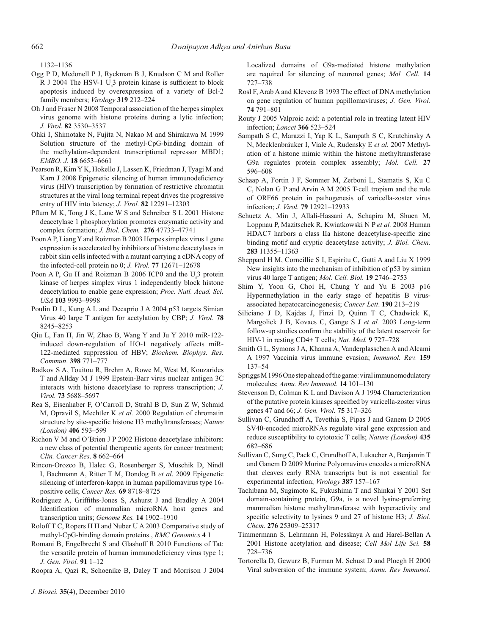1132–1136

- Ogg P D, Mcdonell P J, Ryckman B J, Knudson C M and Roller R J 2004 The HSV-1  $U_s^3$  protein kinase is sufficient to block apoptosis induced by overexpression of a variety of Bcl-2 family members; *Virology* **319** 212–224
- Oh J and Fraser N 2008 Temporal association of the herpes simplex virus genome with histone proteins during a lytic infection; *J. Virol.* **82** 3530–3537
- Ohki I, Shimotake N, Fujita N, Nakao M and Shirakawa M 1999 Solution structure of the methyl-CpG-binding domain of the methylation-dependent transcriptional repressor MBD1; *EMBO. J.* **18** 6653–6661
- Pearson R, Kim Y K, Hokello J, Lassen K, Friedman J, Tyagi M and Karn J 2008 Epigenetic silencing of human immunodeficiency virus (HIV) transcription by formation of restrictive chromatin structures at the viral long terminal repeat drives the progressive entry of HIV into latency; *J. Virol.* **82** 12291–12303
- Pflum M K, Tong J K, Lane W S and Schreiber S L 2001 Histone deacetylase 1 phosphorylation promotes enzymatic activity and complex formation; *J. Biol. Chem.* **276** 47733–47741
- Poon A P, Liang Y and Roizman B 2003 Herpes simplex virus 1 gene expression is accelerated by inhibitors of histone deacetylases in rabbit skin cells infected with a mutant carrying a cDNA copy of the infected-cell protein no 0; *J. Virol.* **77** 12671–12678
- Poon A P, Gu H and Roizman B 2006 ICP0 and the  $U_s^3$  protein kinase of herpes simplex virus 1 independently block histone deacetylation to enable gene expression; *Proc. Natl. Acad. Sci. USA* **103** 9993–9998
- Poulin D L, Kung A L and Decaprio J A 2004 p53 targets Simian Virus 40 large T antigen for acetylation by CBP; *J. Virol.* **78** 8245–8253
- Qiu L, Fan H, Jin W, Zhao B, Wang Y and Ju Y 2010 miR-122 induced down-regulation of HO-1 negatively affects miR-122-mediated suppression of HBV; *Biochem. Biophys. Res. Commun*. **398** 771–777
- Radkov S A, Touitou R, Brehm A, Rowe M, West M, Kouzarides T and Allday M J 1999 Epstein-Barr virus nuclear antigen 3C interacts with histone deacetylase to repress transcription; *J. Virol.* **73** 5688–5697
- Rea S, Eisenhaber F, O'Carroll D, Strahl B D, Sun Z W, Schmid M, Opravil S, Mechtler K *et al.* 2000 Regulation of chromatin structure by site-specific histone H3 methyltransferases; Nature *(London)* **406** 593–599
- Richon V M and O'Brien J P 2002 Histone deacetylase inhibitors: a new class of potential therapeutic agents for cancer treatment; *Clin. Cancer Res*. **8** 662–664
- Rincon-Orozco B, Halec G, Rosenberger S, Muschik D, Nindl I, Bachmann A, Ritter T M, Dondog B *et al*. 2009 Epigenetic silencing of interferon-kappa in human papillomavirus type 16 positive cells; *Cancer Res.* **69** 8718–8725
- Rodriguez A, Griffiths-Jones S, Ashurst J and Bradley A 2004 Identification of mammalian microRNA host genes and transcription units; *Genome Res.* **14** 1902–1910
- Roloff T C, Ropers H H and Nuber U A 2003 Comparative study of methyl-CpG-binding domain proteins., *BMC Genomics* **4** 1
- Romani B, Engelbrecht S and Glashoff R 2010 Functions of Tat: the versatile protein of human immunodeficiency virus type 1; *J. Gen. Virol.* **91** 1–12
- Roopra A, Qazi R, Schoenike B, Daley T and Morrison J 2004

*J. Biosci.* **35**(4), December 2010

Localized domains of G9a-mediated histone methylation are required for silencing of neuronal genes; *Mol. Cell.* **14** 727–738

- Rosl F, Arab A and Klevenz B 1993 The effect of DNA methylation on gene regulation of human papillomaviruses; *J. Gen. Virol.* **74** 791–801
- Routy J 2005 Valproic acid: a potential role in treating latent HIV infection; *Lancet* **366** 523–524
- Sampath S C, Marazzi I, Yap K L, Sampath S C, Krutchinsky A N, Mecklenbräuker I, Viale A, Rudensky E *et al.* 2007 Methylation of a histone mimic within the histone methyltransferase G9a regulates protein complex assembly; *Mol. Cell.* **27** 596–608
- Schaap A, Fortin J F, Sommer M, Zerboni L, Stamatis S, Ku C C, Nolan G P and Arvin A M 2005 T-cell tropism and the role of ORF66 protein in pathogenesis of varicella-zoster virus infection; *J. Virol.* **79** 12921–12933
- Schuetz A, Min J, Allali-Hassani A, Schapira M, Shuen M, Loppnau P, Mazitschek R, Kwiatkowski N P *et al.* 2008 Human HDAC7 harbors a class IIa histone deacetylase-specific zinc binding motif and cryptic deacetylase activity; *J. Biol. Chem.* **283** 11355–11363
- Sheppard H M, Corneillie S I, Espiritu C, Gatti A and Liu X 1999 New insights into the mechanism of inhibition of p53 by simian virus 40 large T antigen; *Mol. Cell. Biol.* **19** 2746–2753
- Shim Y, Yoon G, Choi H, Chung Y and Yu E 2003 p16 Hypermethylation in the early stage of hepatitis B virusassociated hepatocarcinogenesis; *Cancer Lett*. **190** 213–219
- Siliciano J D, Kajdas J, Finzi D, Quinn T C, Chadwick K, Margolick J B, Kovacs C, Gange S J *et al.* 2003 Long-term follow-up studies confirm the stability of the latent reservoir for HIV-1 in resting CD4+ T cells; *Nat. Med.* **9** 727–728
- Smith G L, Symons J A, Khanna A, Vanderplasschen A and Alcamí A 1997 Vaccinia virus immune evasion; *Immunol. Rev.* **159** 137–54
- Spriggs M 1996 One step ahead of the game: viral immunomodulatory molecules; *Annu. Rev Immunol.* **14** 101–130
- Stevenson D, Colman K L and Davison A J 1994 Characterization of the putative protein kinases specified by varicella-zoster virus genes 47 and 66; *J. Gen. Virol.* **75** 317–326
- Sullivan C, Grundhoff A, Tevethia S, Pipas J and Ganem D 2005 SV40-encoded microRNAs regulate viral gene expression and reduce susceptibility to cytotoxic T cells; *Nature (London)* **435** 682–686
- Sullivan C, Sung C, Pack C, Grundhoff A, Lukacher A, Benjamin T and Ganem D 2009 Murine Polyomavirus encodes a microRNA that cleaves early RNA transcripts but is not essential for experimental infection; *Virology* **387** 157–167
- Tachibana M, Sugimoto K, Fukushima T and Shinkai Y 2001 Set domain-containing protein, G9a, is a novel lysine-preferring mammalian histone methyltransferase with hyperactivity and specific selectivity to lysines 9 and 27 of histone H3; *J. Biol. Chem.* **276** 25309–25317
- Timmermann S, Lehrmann H, Polesskaya A and Harel-Bellan A 2001 Histone acetylation and disease; *Cell Mol Life Sci.* **58**  728–736
- Tortorella D, Gewurz B, Furman M, Schust D and Ploegh H 2000 Viral subversion of the immune system; *Annu. Rev Immunol.*